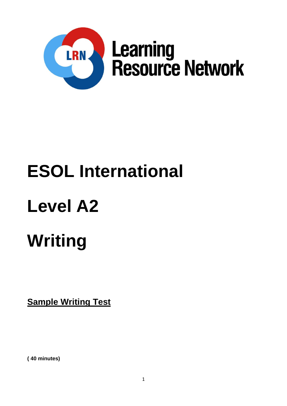

# **ESOL International**

### **Level A2**

## **Writing**

**Sample Writing Test**

**( 40 minutes)**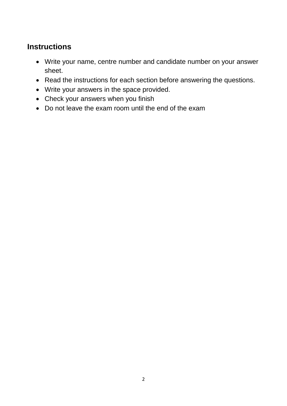### **Instructions**

- Write your name, centre number and candidate number on your answer sheet.
- Read the instructions for each section before answering the questions.
- Write your answers in the space provided.
- Check your answers when you finish
- Do not leave the exam room until the end of the exam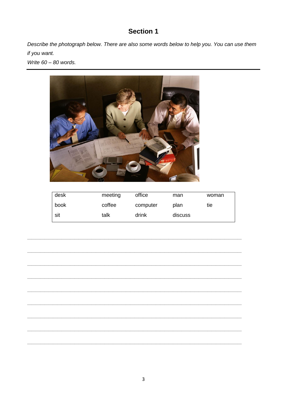#### **Section 1**

Describe the photograph below. There are also some words below to help you. You can use them if you want.

Write 60 - 80 words.



| desk | meeting | office   | man     | woman |
|------|---------|----------|---------|-------|
| book | coffee  | computer | plan    | tie   |
| sit  | talk    | drink    | discuss |       |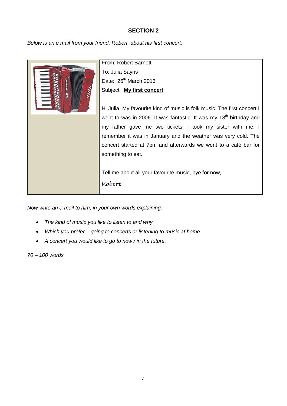#### **SECTION 2**

*Below is an e mail from your friend, Robert, about his first concert.*



*Now write an e-mail to him, in your own words explaining:*

- *The kind of music you like to listen to and why.*
- *Which you prefer – going to concerts or listening to music at home.*
- *A concert you would like to go to now / in the future.*

*70 – 100 words*